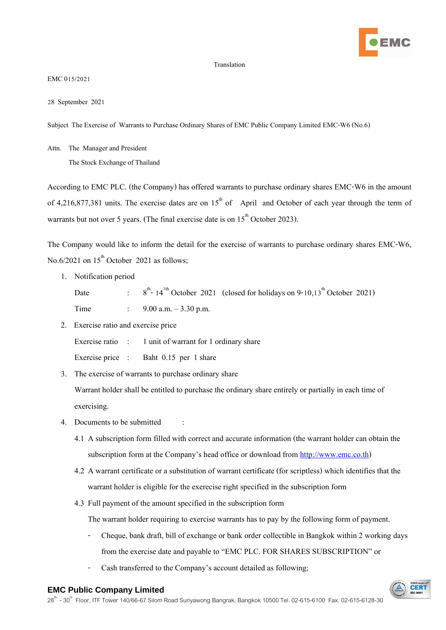

## Translation

EMC 015/2021

28 September 2021

Subject The Exercise of Warrants to Purchase Ordinary Shares of EMC Public Company Limited EMC-W6 (No.6)

Attn. The Manager and President

The Stock Exchange of Thailand

According to EMC PLC. (the Company) has offered warrants to purchase ordinary shares EMC-W6 in the amount of 4,216,877,381 units. The exercise dates are on  $15<sup>th</sup>$  of April and October of each year through the term of warrants but not over 5 years. (The final exercise date is on  $15<sup>th</sup>$  October 2023).

The Company would like to inform the detail for the exercise of warrants to purchase ordinary shares EMC-W6, No.6/2021 on  $15<sup>th</sup>$  October 2021 as follows;

1. Notification period

Date <sup>th</sup>-14<sup>th</sup> October 2021 (closed for holidays on 9-10,13<sup>th</sup> October 2021) Time : 9.00 a.m. – 3.30 p.m.

2. Exercise ratio and exercise price

Exercise ratio : 1 unit of warrant for 1 ordinary share

Exercise price : Baht 0.15 per 1 share

3. The exercise of warrants to purchase ordinary share

Warrant holder shall be entitled to purchase the ordinary share entirely or partially in each time of exercising.

- 4. Documents to be submitted :
	- 4.1 A subscription form filled with correct and accurate information (the warrant holder can obtain the subscription form at the Company's head office or download from [http://www.emc.co.th\)](http://www.emc.co.th/)
	- 4.2 A warrant certificate or a substitution of warrant certificate (for scriptless) which identifies that the warrant holder is eligible for the exerecise right specified in the subscription form
	- 4.3 Full payment of the amount specified in the subscription form

The warrant holder requiring to exercise warrants has to pay by the following form of payment.

- Cheque, bank draft, bill of exchange or bank order collectible in Bangkok within 2 working days from the exercise date and payable to "EMC PLC. FOR SHARES SUBSCRIPTION" or
- Cash transferred to the Company's account detailed as following;